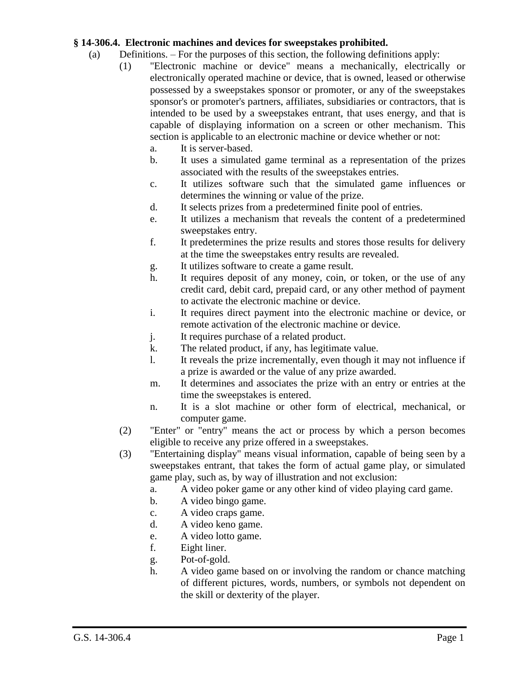## **§ 14-306.4. Electronic machines and devices for sweepstakes prohibited.**

- (a) Definitions. For the purposes of this section, the following definitions apply:
	- (1) "Electronic machine or device" means a mechanically, electrically or electronically operated machine or device, that is owned, leased or otherwise possessed by a sweepstakes sponsor or promoter, or any of the sweepstakes sponsor's or promoter's partners, affiliates, subsidiaries or contractors, that is intended to be used by a sweepstakes entrant, that uses energy, and that is capable of displaying information on a screen or other mechanism. This section is applicable to an electronic machine or device whether or not:
		- a. It is server-based.
		- b. It uses a simulated game terminal as a representation of the prizes associated with the results of the sweepstakes entries.
		- c. It utilizes software such that the simulated game influences or determines the winning or value of the prize.
		- d. It selects prizes from a predetermined finite pool of entries.
		- e. It utilizes a mechanism that reveals the content of a predetermined sweepstakes entry.
		- f. It predetermines the prize results and stores those results for delivery at the time the sweepstakes entry results are revealed.
		- g. It utilizes software to create a game result.
		- h. It requires deposit of any money, coin, or token, or the use of any credit card, debit card, prepaid card, or any other method of payment to activate the electronic machine or device.
		- i. It requires direct payment into the electronic machine or device, or remote activation of the electronic machine or device.
		- j. It requires purchase of a related product.
		- k. The related product, if any, has legitimate value.
		- l. It reveals the prize incrementally, even though it may not influence if a prize is awarded or the value of any prize awarded.
		- m. It determines and associates the prize with an entry or entries at the time the sweepstakes is entered.
		- n. It is a slot machine or other form of electrical, mechanical, or computer game.
	- (2) "Enter" or "entry" means the act or process by which a person becomes eligible to receive any prize offered in a sweepstakes.
	- (3) "Entertaining display" means visual information, capable of being seen by a sweepstakes entrant, that takes the form of actual game play, or simulated game play, such as, by way of illustration and not exclusion:
		- a. A video poker game or any other kind of video playing card game.
		- b. A video bingo game.
		- c. A video craps game.
		- d. A video keno game.
		- e. A video lotto game.
		- f. Eight liner.
		- g. Pot-of-gold.
		- h. A video game based on or involving the random or chance matching of different pictures, words, numbers, or symbols not dependent on the skill or dexterity of the player.